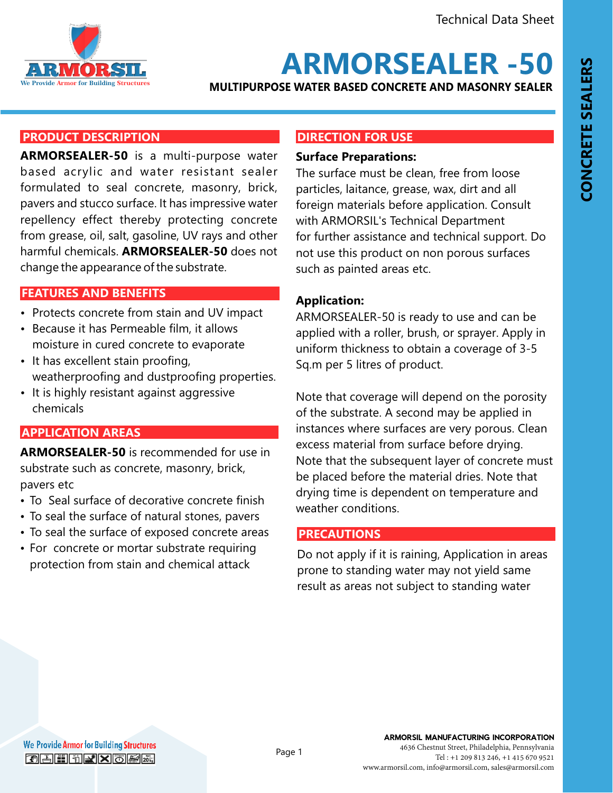

# **ARMORSEALER -50**

**MULTIPURPOSE WATER BASED CONCRETE AND MASONRY SEALER**

#### **PRODUCT DESCRIPTION**

**ARMORSEALER-50** is a multi-purpose water based acrylic and water resistant sealer formulated to seal concrete, masonry, brick, pavers and stucco surface. It has impressive water repellency effect thereby protecting concrete from grease, oil, salt, gasoline, UV rays and other harmful chemicals. **ARMORSEALER-50** does not change the appearance of the substrate.

#### **FEATURES AND BENEFITS FEATURES AND BENEFITS**

- Protects concrete from stain and UV impact
- Because it has Permeable film, it allows moisture in cured concrete to evaporate
- It has excellent stain proofing, weatherproofing and dustproofing properties.
- It is highly resistant against aggressive chemicals

# **APPLICATION AREAS**

**ARMORSEALER-50** is recommended for use in substrate such as concrete, masonry, brick, pavers etc

- To Seal surface of decorative concrete finish
- To seal the surface of natural stones, pavers
- To seal the surface of exposed concrete areas
- For concrete or mortar substrate requiring protection from stain and chemical attack

### **DIRECTION FOR USE**

#### **Surface Preparations:**

The surface must be clean, free from loose particles, laitance, grease, wax, dirt and all foreign materials before application. Consult with ARMORSIL's Technical Department for further assistance and technical support. Do not use this product on non porous surfaces such as painted areas etc.

# **Application:**

ARMORSEALER-50 is ready to use and can be applied with a roller, brush, or sprayer. Apply in uniform thickness to obtain a coverage of 3-5 Sq.m per 5 litres of product.

Note that coverage will depend on the porosity of the substrate. A second may be applied in instances where surfaces are very porous. Clean excess material from surface before drying. Note that the subsequent layer of concrete must be placed before the material dries. Note that drying time is dependent on temperature and weather conditions.

# **PRECAUTIONS**

Do not apply if it is raining, Application in areas prone to standing water may not yield same result as areas not subject to standing water